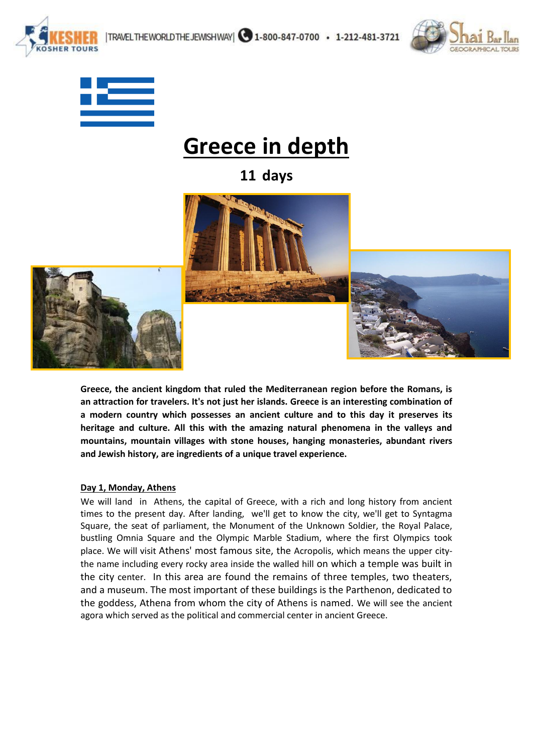





**SHEP TOURS** 

# **Greece in depth**

**11 days**



**Greece, the ancient kingdom that ruled the Mediterranean region before the Romans, is an attraction for travelers. It's not just her islands. Greece is an interesting combination of a modern country which possesses an ancient culture and to this day it preserves its heritage and culture. All this with the amazing natural phenomena in the valleys and mountains, mountain villages with stone houses, hanging monasteries, abundant rivers and Jewish history, are ingredients of a unique travel experience.**

#### **Day 1, Monday, Athens**

We will land in Athens, the capital of Greece, with a rich and long history from ancient times to the present day. After landing, we'll get to know the city, we'll get to Syntagma Square, the seat of parliament, the Monument of the Unknown Soldier, the Royal Palace, bustling Omnia Square and the Olympic Marble Stadium, where the first Olympics took place. We will visit Athens' most famous site, the Acropolis, which means the upper citythe name including every rocky area inside the walled hill on which a temple was built in the city center. In this area are found the remains of three temples, two theaters, and a museum. The most important of these buildings is the Parthenon, dedicated to the goddess, Athena from whom the city of Athens is named. We will see the ancient agora which served as the political and commercial center in ancient Greece.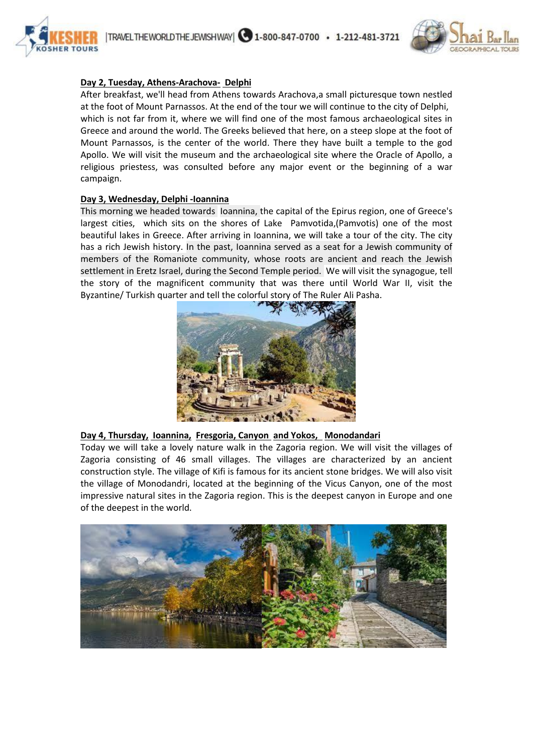



# **Day 2, Tuesday, Athens-Arachova- Delphi**

After breakfast, we'll head from Athens towards Arachova,a small picturesque town nestled at the foot of Mount Parnassos. At the end of the tour we will continue to the city of Delphi, which is not far from it, where we will find one of the most famous archaeological sites in Greece and around the world. The Greeks believed that here, on a steep slope at the foot of Mount Parnassos, is the center of the world. There they have built a temple to the god Apollo. We will visit the museum and the archaeological site where the Oracle of Apollo, a religious priestess, was consulted before any major event or the beginning of a war campaign.

#### **Day 3, Wednesday, Delphi -Ioannina**

This morning we headed towards Ioannina, the capital of the Epirus region, one of Greece's largest cities, which sits on the shores of Lake Pamvotida,(Pamvotis) one of the most beautiful lakes in Greece. After arriving in Ioannina, we will take a tour of the city. The city has a rich Jewish history. In the past, Ioannina served as a seat for a Jewish community of members of the Romaniote community, whose roots are ancient and reach the Jewish settlement in Eretz Israel, during the Second Temple period. We will visit the synagogue, tell the story of the magnificent community that was there until World War II, visit the Byzantine/ Turkish quarter and tell the colorful story of The Ruler Ali Pasha.



# **Day 4, Thursday, Ioannina, Fresgoria, Canyon and Yokos, Monodandari**

Today we will take a lovely nature walk in the Zagoria region. We will visit the villages of Zagoria consisting of 46 small villages. The villages are characterized by an ancient construction style. The village of Kifi is famous for its ancient stone bridges. We will also visit the village of Monodandri, located at the beginning of the Vicus Canyon, one of the most impressive natural sites in the Zagoria region. This is the deepest canyon in Europe and one of the deepest in the world.

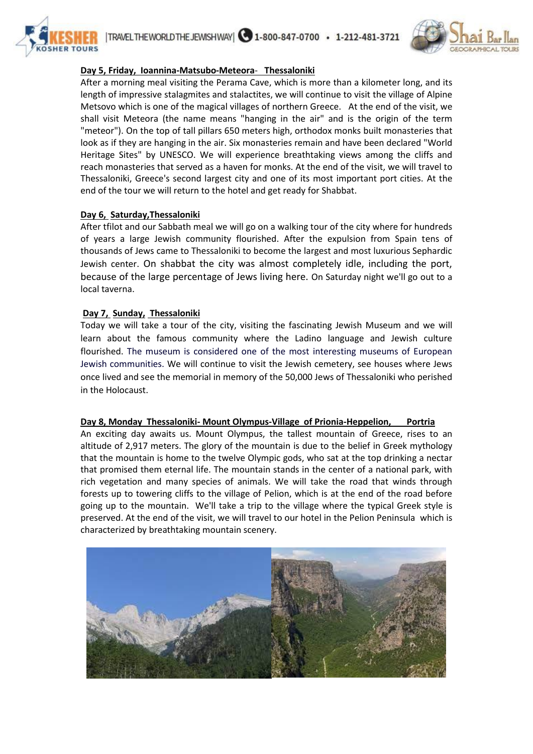



# **Day 5, Friday, Ioannina-Matsubo-Meteora**- **Thessaloniki**

After a morning meal visiting the Perama Cave, which is more than a kilometer long, and its length of impressive stalagmites and stalactites, we will continue to visit the village of Alpine Metsovo which is one of the magical villages of northern Greece. At the end of the visit, we shall visit Meteora (the name means "hanging in the air" and is the origin of the term "meteor"). On the top of tall pillars 650 meters high, orthodox monks built monasteries that look as if they are hanging in the air. Six monasteries remain and have been declared "World Heritage Sites" by UNESCO. We will experience breathtaking views among the cliffs and reach monasteries that served as a haven for monks. At the end of the visit, we will travel to Thessaloniki, Greece's second largest city and one of its most important port cities. At the end of the tour we will return to the hotel and get ready for Shabbat.

#### **Day 6, Saturday,Thessaloniki**

After tfilot and our Sabbath meal we will go on a walking tour of the city where for hundreds of years a large Jewish community flourished. After the expulsion from Spain tens of thousands of Jews came to Thessaloniki to become the largest and most luxurious Sephardic Jewish center. On shabbat the city was almost completely idle, including the port, because of the large percentage of Jews living here. On Saturday night we'll go out to a local taverna.

#### **Day 7, Sunday, Thessaloniki**

Today we will take a tour of the city, visiting the fascinating Jewish Museum and we will learn about the famous community where the Ladino language and Jewish culture flourished. The museum is considered one of the most interesting museums of European Jewish communities. We will continue to visit the Jewish cemetery, see houses where Jews once lived and see the memorial in memory of the 50,000 Jews of Thessaloniki who perished in the Holocaust.

#### **Day 8, Monday Thessaloniki- Mount Olympus-Village of Prionia-Heppelion, Portria**

An exciting day awaits us. Mount Olympus, the tallest mountain of Greece, rises to an altitude of 2,917 meters. The glory of the mountain is due to the belief in Greek mythology that the mountain is home to the twelve Olympic gods, who sat at the top drinking a nectar that promised them eternal life. The mountain stands in the center of a national park, with rich vegetation and many species of animals. We will take the road that winds through forests up to towering cliffs to the village of Pelion, which is at the end of the road before going up to the mountain. We'll take a trip to the village where the typical Greek style is preserved. At the end of the visit, we will travel to our hotel in the Pelion Peninsula which is characterized by breathtaking mountain scenery.

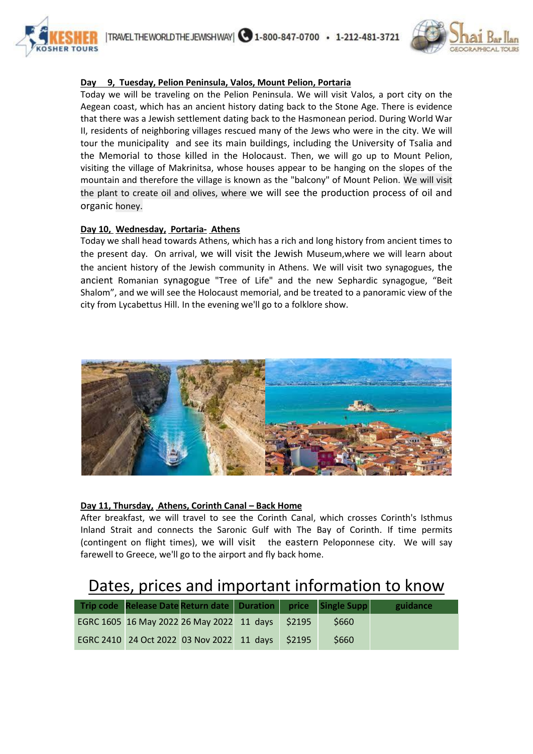



# **Day 9, Tuesday, Pelion Peninsula, Valos, Mount Pelion, Portaria**

Today we will be traveling on the Pelion Peninsula. We will visit Valos, a port city on the Aegean coast, which has an ancient history dating back to the Stone Age. There is evidence that there was a Jewish settlement dating back to the Hasmonean period. During World War II, residents of neighboring villages rescued many of the Jews who were in the city. We will tour the municipality and see its main buildings, including the University of Tsalia and the Memorial to those killed in the Holocaust. Then, we will go up to Mount Pelion, visiting the village of Makrinitsa, whose houses appear to be hanging on the slopes of the mountain and therefore the village is known as the "balcony" of Mount Pelion. We will visit the plant to create oil and olives, where we will see the production process of oil and organic honey.

# **Day 10, Wednesday, Portaria- Athens**

Today we shall head towards Athens, which has a rich and long history from ancient times to the present day. On arrival, we will visit the Jewish Museum,where we will learn about the ancient history of the Jewish community in Athens. We will visit two synagogues, the ancient Romanian synagogue "Tree of Life" and the new Sephardic synagogue, "Beit Shalom", and we will see the Holocaust memorial, and be treated to a panoramic view of the city from Lycabettus Hill. In the evening we'll go to a folklore show.



# **Day 11, Thursday, Athens, Corinth Canal – Back Home**

After breakfast, we will travel to see the Corinth Canal, which crosses Corinth's Isthmus Inland Strait and connects the Saronic Gulf with The Bay of Corinth. If time permits (contingent on flight times), we will visit the eastern Peloponnese city. We will say farewell to Greece, we'll go to the airport and fly back home.

# Dates, prices and important information to know

| Trip code Release Date Return date Duration price Single Supp |  |       |       | guidance |
|---------------------------------------------------------------|--|-------|-------|----------|
| EGRC 1605 16 May 2022 26 May 2022 11 days                     |  | S2195 | S660  |          |
| EGRC 2410 24 Oct 2022 03 Nov 2022 11 days                     |  | S2195 | \$660 |          |